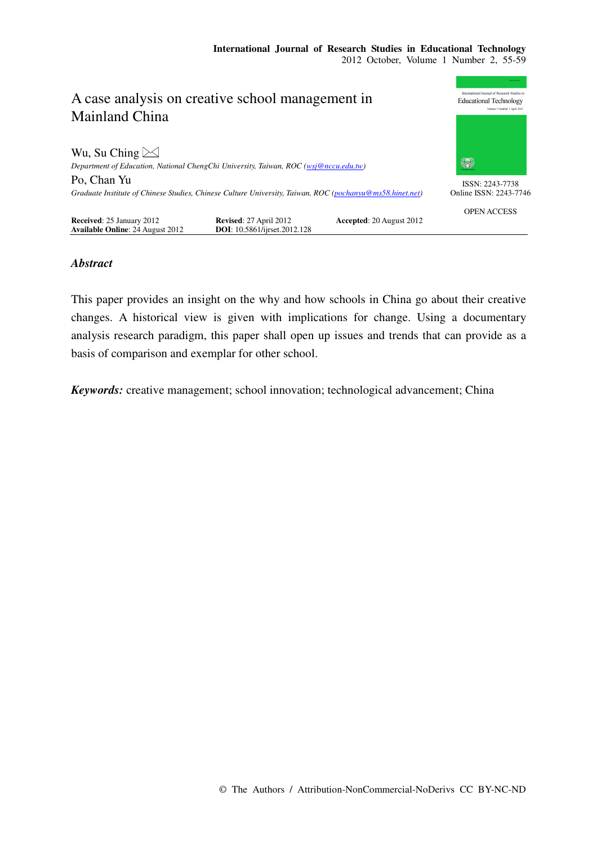

# *Abstract*

This paper provides an insight on the why and how schools in China go about their creative changes. A historical view is given with implications for change. Using a documentary analysis research paradigm, this paper shall open up issues and trends that can provide as a basis of comparison and exemplar for other school.

*Keywords:* creative management; school innovation; technological advancement; China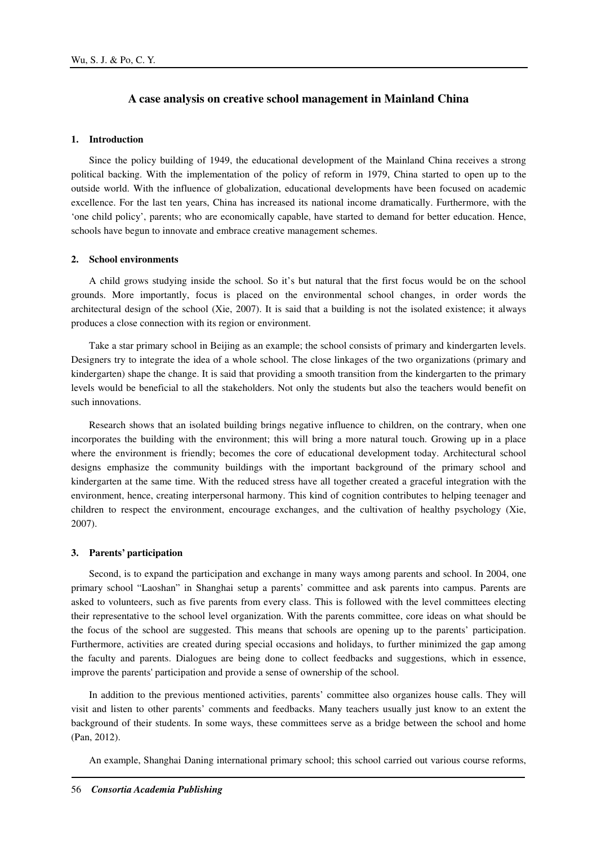# **A case analysis on creative school management in Mainland China**

## **1. Introduction**

Since the policy building of 1949, the educational development of the Mainland China receives a strong political backing. With the implementation of the policy of reform in 1979, China started to open up to the outside world. With the influence of globalization, educational developments have been focused on academic excellence. For the last ten years, China has increased its national income dramatically. Furthermore, with the 'one child policy', parents; who are economically capable, have started to demand for better education. Hence, schools have begun to innovate and embrace creative management schemes.

### **2. School environments**

A child grows studying inside the school. So it's but natural that the first focus would be on the school grounds. More importantly, focus is placed on the environmental school changes, in order words the architectural design of the school (Xie, 2007). It is said that a building is not the isolated existence; it always produces a close connection with its region or environment.

Take a star primary school in Beijing as an example; the school consists of primary and kindergarten levels. Designers try to integrate the idea of a whole school. The close linkages of the two organizations (primary and kindergarten) shape the change. It is said that providing a smooth transition from the kindergarten to the primary levels would be beneficial to all the stakeholders. Not only the students but also the teachers would benefit on such innovations.

Research shows that an isolated building brings negative influence to children, on the contrary, when one incorporates the building with the environment; this will bring a more natural touch. Growing up in a place where the environment is friendly; becomes the core of educational development today. Architectural school designs emphasize the community buildings with the important background of the primary school and kindergarten at the same time. With the reduced stress have all together created a graceful integration with the environment, hence, creating interpersonal harmony. This kind of cognition contributes to helping teenager and children to respect the environment, encourage exchanges, and the cultivation of healthy psychology (Xie, 2007).

#### **3. Parents' participation**

Second, is to expand the participation and exchange in many ways among parents and school. In 2004, one primary school "Laoshan" in Shanghai setup a parents' committee and ask parents into campus. Parents are asked to volunteers, such as five parents from every class. This is followed with the level committees electing their representative to the school level organization. With the parents committee, core ideas on what should be the focus of the school are suggested. This means that schools are opening up to the parents' participation. Furthermore, activities are created during special occasions and holidays, to further minimized the gap among the faculty and parents. Dialogues are being done to collect feedbacks and suggestions, which in essence, improve the parents' participation and provide a sense of ownership of the school.

In addition to the previous mentioned activities, parents' committee also organizes house calls. They will visit and listen to other parents' comments and feedbacks. Many teachers usually just know to an extent the background of their students. In some ways, these committees serve as a bridge between the school and home (Pan, 2012).

An example, Shanghai Daning international primary school; this school carried out various course reforms,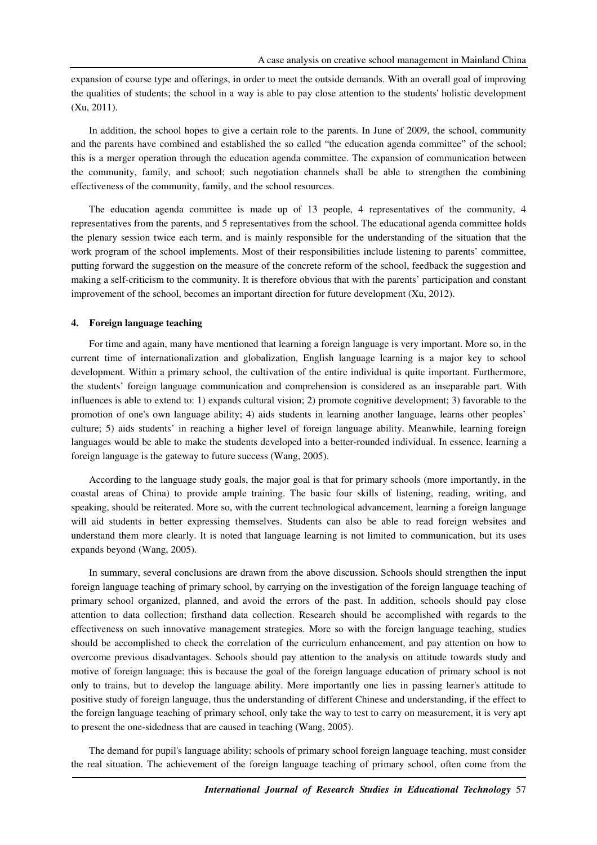expansion of course type and offerings, in order to meet the outside demands. With an overall goal of improving the qualities of students; the school in a way is able to pay close attention to the students' holistic development (Xu, 2011).

In addition, the school hopes to give a certain role to the parents. In June of 2009, the school, community and the parents have combined and established the so called "the education agenda committee" of the school; this is a merger operation through the education agenda committee. The expansion of communication between the community, family, and school; such negotiation channels shall be able to strengthen the combining effectiveness of the community, family, and the school resources.

The education agenda committee is made up of 13 people, 4 representatives of the community, 4 representatives from the parents, and 5 representatives from the school. The educational agenda committee holds the plenary session twice each term, and is mainly responsible for the understanding of the situation that the work program of the school implements. Most of their responsibilities include listening to parents' committee, putting forward the suggestion on the measure of the concrete reform of the school, feedback the suggestion and making a self-criticism to the community. It is therefore obvious that with the parents' participation and constant improvement of the school, becomes an important direction for future development (Xu, 2012).

#### **4. Foreign language teaching**

For time and again, many have mentioned that learning a foreign language is very important. More so, in the current time of internationalization and globalization, English language learning is a major key to school development. Within a primary school, the cultivation of the entire individual is quite important. Furthermore, the students' foreign language communication and comprehension is considered as an inseparable part. With influences is able to extend to: 1) expands cultural vision; 2) promote cognitive development; 3) favorable to the promotion of one's own language ability; 4) aids students in learning another language, learns other peoples' culture; 5) aids students' in reaching a higher level of foreign language ability. Meanwhile, learning foreign languages would be able to make the students developed into a better-rounded individual. In essence, learning a foreign language is the gateway to future success (Wang, 2005).

According to the language study goals, the major goal is that for primary schools (more importantly, in the coastal areas of China) to provide ample training. The basic four skills of listening, reading, writing, and speaking, should be reiterated. More so, with the current technological advancement, learning a foreign language will aid students in better expressing themselves. Students can also be able to read foreign websites and understand them more clearly. It is noted that language learning is not limited to communication, but its uses expands beyond (Wang, 2005).

In summary, several conclusions are drawn from the above discussion. Schools should strengthen the input foreign language teaching of primary school, by carrying on the investigation of the foreign language teaching of primary school organized, planned, and avoid the errors of the past. In addition, schools should pay close attention to data collection; firsthand data collection. Research should be accomplished with regards to the effectiveness on such innovative management strategies. More so with the foreign language teaching, studies should be accomplished to check the correlation of the curriculum enhancement, and pay attention on how to overcome previous disadvantages. Schools should pay attention to the analysis on attitude towards study and motive of foreign language; this is because the goal of the foreign language education of primary school is not only to trains, but to develop the language ability. More importantly one lies in passing learner's attitude to positive study of foreign language, thus the understanding of different Chinese and understanding, if the effect to the foreign language teaching of primary school, only take the way to test to carry on measurement, it is very apt to present the one-sidedness that are caused in teaching (Wang, 2005).

The demand for pupil's language ability; schools of primary school foreign language teaching, must consider the real situation. The achievement of the foreign language teaching of primary school, often come from the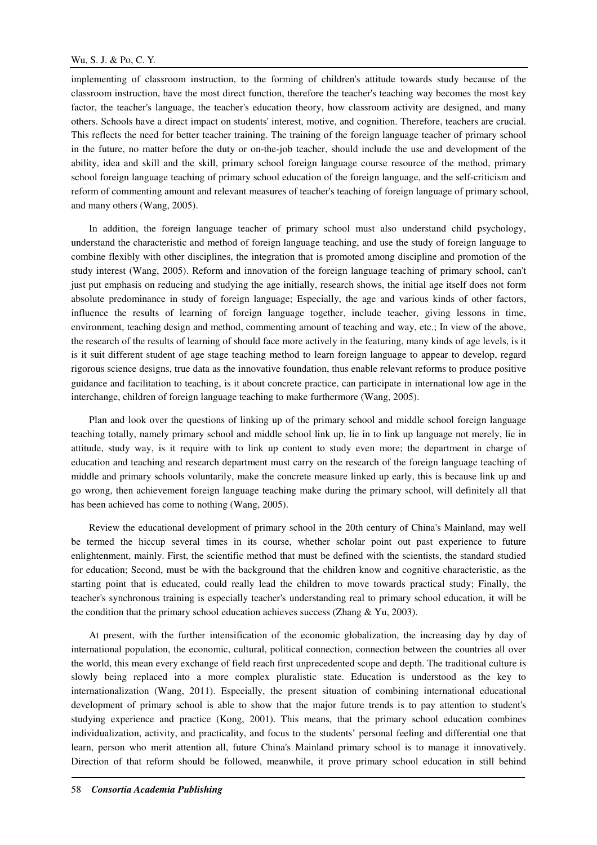implementing of classroom instruction, to the forming of children's attitude towards study because of the classroom instruction, have the most direct function, therefore the teacher's teaching way becomes the most key factor, the teacher's language, the teacher's education theory, how classroom activity are designed, and many others. Schools have a direct impact on students' interest, motive, and cognition. Therefore, teachers are crucial. This reflects the need for better teacher training. The training of the foreign language teacher of primary school in the future, no matter before the duty or on-the-job teacher, should include the use and development of the ability, idea and skill and the skill, primary school foreign language course resource of the method, primary school foreign language teaching of primary school education of the foreign language, and the self-criticism and reform of commenting amount and relevant measures of teacher's teaching of foreign language of primary school, and many others (Wang, 2005).

In addition, the foreign language teacher of primary school must also understand child psychology, understand the characteristic and method of foreign language teaching, and use the study of foreign language to combine flexibly with other disciplines, the integration that is promoted among discipline and promotion of the study interest (Wang, 2005). Reform and innovation of the foreign language teaching of primary school, can't just put emphasis on reducing and studying the age initially, research shows, the initial age itself does not form absolute predominance in study of foreign language; Especially, the age and various kinds of other factors, influence the results of learning of foreign language together, include teacher, giving lessons in time, environment, teaching design and method, commenting amount of teaching and way, etc.; In view of the above, the research of the results of learning of should face more actively in the featuring, many kinds of age levels, is it is it suit different student of age stage teaching method to learn foreign language to appear to develop, regard rigorous science designs, true data as the innovative foundation, thus enable relevant reforms to produce positive guidance and facilitation to teaching, is it about concrete practice, can participate in international low age in the interchange, children of foreign language teaching to make furthermore (Wang, 2005).

Plan and look over the questions of linking up of the primary school and middle school foreign language teaching totally, namely primary school and middle school link up, lie in to link up language not merely, lie in attitude, study way, is it require with to link up content to study even more; the department in charge of education and teaching and research department must carry on the research of the foreign language teaching of middle and primary schools voluntarily, make the concrete measure linked up early, this is because link up and go wrong, then achievement foreign language teaching make during the primary school, will definitely all that has been achieved has come to nothing (Wang, 2005).

Review the educational development of primary school in the 20th century of China's Mainland, may well be termed the hiccup several times in its course, whether scholar point out past experience to future enlightenment, mainly. First, the scientific method that must be defined with the scientists, the standard studied for education; Second, must be with the background that the children know and cognitive characteristic, as the starting point that is educated, could really lead the children to move towards practical study; Finally, the teacher's synchronous training is especially teacher's understanding real to primary school education, it will be the condition that the primary school education achieves success (Zhang & Yu, 2003).

At present, with the further intensification of the economic globalization, the increasing day by day of international population, the economic, cultural, political connection, connection between the countries all over the world, this mean every exchange of field reach first unprecedented scope and depth. The traditional culture is slowly being replaced into a more complex pluralistic state. Education is understood as the key to internationalization (Wang, 2011). Especially, the present situation of combining international educational development of primary school is able to show that the major future trends is to pay attention to student's studying experience and practice (Kong, 2001). This means, that the primary school education combines individualization, activity, and practicality, and focus to the students' personal feeling and differential one that learn, person who merit attention all, future China's Mainland primary school is to manage it innovatively. Direction of that reform should be followed, meanwhile, it prove primary school education in still behind